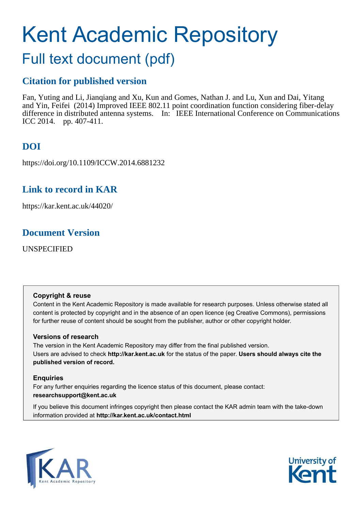# Kent Academic Repository

# Full text document (pdf)

## **Citation for published version**

Fan, Yuting and Li, Jianqiang and Xu, Kun and Gomes, Nathan J. and Lu, Xun and Dai, Yitang and Yin, Feifei (2014) Improved IEEE 802.11 point coordination function considering fiber-delay difference in distributed antenna systems. In: IEEE International Conference on Communications ICC 2014. pp. 407-411.

# **DOI**

https://doi.org/10.1109/ICCW.2014.6881232

# **Link to record in KAR**

https://kar.kent.ac.uk/44020/

# **Document Version**

UNSPECIFIED

## **Copyright & reuse**

Content in the Kent Academic Repository is made available for research purposes. Unless otherwise stated all content is protected by copyright and in the absence of an open licence (eg Creative Commons), permissions for further reuse of content should be sought from the publisher, author or other copyright holder.

## **Versions of research**

The version in the Kent Academic Repository may differ from the final published version. Users are advised to check **http://kar.kent.ac.uk** for the status of the paper. **Users should always cite the published version of record.**

## **Enquiries**

For any further enquiries regarding the licence status of this document, please contact: **researchsupport@kent.ac.uk**

If you believe this document infringes copyright then please contact the KAR admin team with the take-down information provided at **http://kar.kent.ac.uk/contact.html**



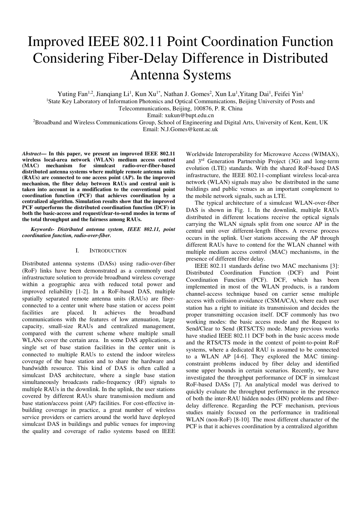# Improved IEEE 802.11 Point Coordination Function Considering Fiber-Delay Difference in Distributed Antenna Systems

Yuting Fan<sup>1,2</sup>, Jianqiang Li<sup>1</sup>, Kun Xu<sup>1\*</sup>, Nathan J. Gomes<sup>2</sup>, Xun Lu<sup>1</sup>, Yitang Dai<sup>1</sup>, Feifei Yin<sup>1</sup>

<sup>1</sup>State Key Laboratory of Information Photonics and Optical Communications, Beijing University of Posts and Telecommunications, Beijing, 100876, P. R. China

Email: xukun@bupt.edu.cn

<sup>2</sup>Broadband and Wireless Communications Group, School of Engineering and Digital Arts, University of Kent, Kent, UK Email: N.J.Gomes@kent.ac.uk

*Abstract***— In this paper, we present an improved IEEE 802.11 wireless local-area network (WLAN) medium access control (MAC) mechanism for simulcast radio-over-fiber-based distributed antenna systems where multiple remote antenna units (RAUs) are connected to one access point (AP). In the improved mechanism, the fiber delay between RAUs and central unit is taken into account in a modification to the conventional point coordination function (PCF) that achieves coordination by a centralized algorithm. Simulation results show that the improved PCF outperforms the distributed coordination function (DCF) in both the basic-access and request/clear-to-send modes in terms of the total throughput and the fairness among RAUs.** 

*Keywords- Distributed antenna system, IEEE 802.11, point coordination function, radio-over-fiber.* 

#### I. INTRODUCTION

Distributed antenna systems (DASs) using radio-over-fiber (RoF) links have been demonstrated as a commonly used infrastructure solution to provide broadband wireless coverage within a geographic area with reduced total power and improved reliability [1-2]. In a RoF-based DAS, multiple spatially separated remote antenna units (RAUs) are fiberconnected to a center unit where base station or access point facilities are placed. It achieves the broadband communications with the features of low attenuation, large capacity, small-size RAUs and centralized management, compared with the current scheme where multiple small WLANs cover the certain area. In some DAS applications, a single set of base station facilities in the center unit is connected to multiple RAUs to extend the indoor wireless coverage of the base station and to share the hardware and bandwidth resource. This kind of DAS is often called a simulcast DAS architecture, where a single base station simultaneously broadcasts radio-frequency (RF) signals to multiple RAUs in the downlink. In the uplink, the user stations covered by different RAUs share transmission medium and base station/access point (AP) facilities. For cost-effective inbuilding coverage in practice, a great number of wireless service providers or carriers around the world have deployed simulcast DAS in buildings and public venues for improving the quality and coverage of radio systems based on IEEE Worldwide Interoperability for Microwave Access (WIMAX), and 3rd Generation Partnership Project (3G) and long-term evolution (LTE) standards. With the shared RoF-based DAS infrastructure, the IEEE 802.11-compliant wireless local-area network (WLAN) signals may also be distributed in the same buildings and public venues as an important complement to the mobile network signals, such as LTE.

The typical architecture of a simulcast WLAN-over-fiber DAS is shown in Fig. 1. In the downlink, multiple RAUs distributed in different locations receive the optical signals carrying the WLAN signals split from one source AP in the central unit over different-length fibers. A reverse process occurs in the uplink. User stations accessing the AP through different RAUs have to contend for the WLAN channel with multiple medium access control (MAC) mechanisms, in the presence of different fiber delay.

IEEE 802.11 standards define two MAC mechanisms [3]: Distributed Coordination Function (DCF) and Point Coordination Function (PCF). DCF, which has been implemented in most of the WLAN products, is a random channel-access technique based on carrier sense multiple access with collision avoidance (CSMA/CA), where each user station has a right to initiate its transmission and decides the proper transmitting occasion itself. DCF commonly has two working modes: the basic access mode and the Request to Send/Clear to Send (RTS/CTS) mode. Many previous works have studied IEEE 802.11 DCF both in the basic access mode and the RTS/CTS mode in the context of point-to-point RoF systems, where a dedicated RAU is assumed to be connected to a WLAN AP [4-6]. They explored the MAC timingconstraint problems induced by fiber delay and identified some upper bounds in certain scenarios. Recently, we have investigated the throughput performance of DCF in simulcast RoF-based DASs [7]. An analytical model was derived to quickly evaluate the throughput performance in the presence of both the inter-RAU hidden nodes (HN) problems and fiberdelay difference. Regarding the PCF mechanism, previous studies mainly focused on the performance in traditional WLAN (non-RoF) [8-10]. The most different character of the PCF is that it achieves coordination by a centralized algorithm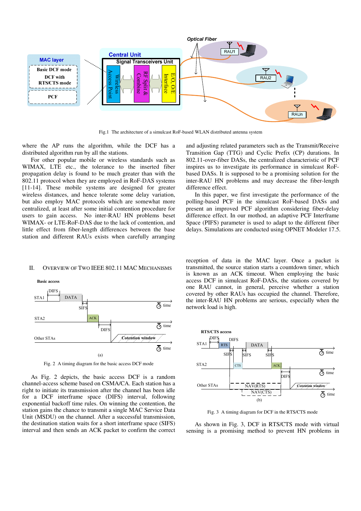

Fig.1 The architecture of a simulcast RoF-based WLAN distributed antenna system

where the AP runs the algorithm, while the DCF has a distributed algorithm run by all the stations.

For other popular mobile or wireless standards such as WIMAX, LTE etc., the tolerance to the inserted fiber propagation delay is found to be much greater than with the 802.11 protocol when they are employed in RoF-DAS systems [11-14]. These mobile systems are designed for greater wireless distances, and hence tolerate some delay variation, but also employ MAC protocols which are somewhat more centralized, at least after some initial contention procedure for users to gain access. No inter-RAU HN problems beset WIMAX- or LTE-RoF-DAS due to the lack of contention, and little effect from fiber-length differences between the base station and different RAUs exists when carefully arranging

and adjusting related parameters such as the Transmit/Receive Transition Gap (TTG) and Cyclic Prefix (CP) durations. In 802.11-over-fiber DASs, the centralized characteristic of PCF inspires us to investigate its performance in simulcast RoFbased DASs. It is supposed to be a promising solution for the inter-RAU HN problems and may decrease the fiber-length difference effect.

In this paper, we first investigate the performance of the polling-based PCF in the simulcast RoF-based DASs and present an improved PCF algorithm considering fiber-delay difference effect. In our mothod, an adaptive PCF Interframe Space (PIFS) parameter is used to adapt to the different fiber delays. Simulations are conducted using OPNET Modeler 17.5.

#### II. OVERVIEW OF TWO IEEE 802.11 MAC MECHANISMS



Fig. 2 A timing diagram for the basic access DCF mode

As Fig. 2 depicts, the basic access DCF is a random channel-access scheme based on CSMA/CA. Each station has a right to initiate its transmission after the channel has been idle for a DCF interframe space (DIFS) interval, following exponential backoff time rules. On winning the contention, the station gains the chance to transmit a single MAC Service Data Unit (MSDU) on the channel. After a successful transmission, the destination station waits for a short interframe space (SIFS) interval and then sends an ACK packet to confirm the correct reception of data in the MAC layer. Once a packet is transmitted, the source station starts a countdown timer, which is known as an ACK timeout. When employing the basic access DCF in simulcast RoF-DASs, the stations covered by one RAU cannot, in general, perceive whether a station covered by other RAUs has occupied the channel. Therefore, the inter-RAU HN problems are serious, especially when the network load is high.



Fig. 3 A timing diagram for DCF in the RTS/CTS mode

As shown in Fig. 3, DCF in RTS/CTS mode with virtual sensing is a promising method to prevent HN problems in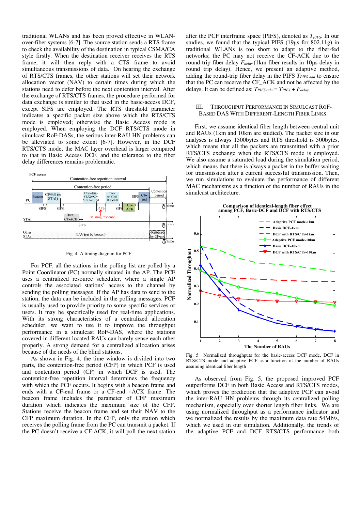traditional WLANs and has been proved effective in WLANover-fiber systems [6-7]. The source station sends a RTS frame to check the availability of the destination in typical CSMA/CA style firstly. When the destination receiver receives the RTS frame, it will then reply with a CTS frame to avoid simultaneous transmissions of data. On hearing the exchange of RTS/CTS frames, the other stations will set their network allocation vector (NAV) to certain times during which the stations need to defer before the next contention interval. After the exchange of RTS/CTS frames, the procedure performed for data exchange is similar to that used in the basic-access DCF, except SIFS are employed. The RTS threshold parameter indicates a specific packet size above which the RTS/CTS mode is employed; otherwise the Basic Access mode is employed. When employing the DCF RTS/CTS mode in simulcast RoF-DASs, the serious inter-RAU HN problems can be alleviated to some extent [6-7]. However, in the DCF RTS/CTS mode, the MAC layer overhead is larger compared to that in Basic Access DCF, and the tolerance to the fiber delay differences remains problematic.



Fig. 4 A timing diagram for PCF

For PCF, all the stations in the polling list are polled by a Point Coordinator (PC) normally situated in the AP. The PCF uses a centralized resource scheduler, where a single AP controls the associated stations' access to the channel by sending the polling messages. If the AP has data to send to the station, the data can be included in the polling messages. PCF is usually used to provide priority to some specific services or users. It may be specifically used for real-time applications. With its strong characteristics of a centralized allocation scheduler, we want to use it to improve the throughput performance in a simulcast RoF-DAS, where the stations covered in different located RAUs can barely sense each other properly. A strong demand for a centralized allocation arises because of the needs of the blind stations.

As shown in Fig. 4, the time window is divided into two parts, the contention-free period (CFP) in which PCF is used and contention period (CP) in which DCF is used. The contention-free repetition interval determines the frequency with which the PCF occurs. It begins with a beacon frame and ends with a CF-end frame or a CF-end +ACK frame. The beacon frame includes the parameter of CFP maximum duration which indicates the maximum size of the CFP. Stations receive the beacon frame and set their NAV to the CFP maximum duration. In the CFP, only the station which receives the polling frame from the PC can transmit a packet. If the PC doesn't receive a CF-ACK, it will poll the next station after the PCF interframe space (PIFS), denoted as *TPIFS*. In our studies, we found that the typical PIFS  $(19\mu s)$  for 802.11g) in traditional WLANs is too short to adapt to the fiber-fed networks; the PC may not receive the CF-ACK due to the round-trip fiber delay  $F_{delay}$  (1km fiber results in 10 $\mu$ s delay in round trip delay). Hence, we present an adaptive method, adding the round-trip fiber delay in the PIFS *TPIFS-ada* to ensure that the PC can receive the CF\_ACK and not be affected by the delays. It can be defined as: *TPIFS-ada* = *TPIFS* + *Fdelay .*

#### III. THROUGHPUT PERFORMANCE IN SIMULCAST ROF-BASED DAS WITH DIFFERENT-LENGTH FIBER LINKS

First, we assume identical fiber length between central unit and RAUs (1km and 10km are studied). The packet size in our analyses is always 1500bytes and RTS threshold is 500bytes, which means that all the packets are transmitted with a prior RTS/CTS exchange when the RTS/CTS mode is employed. We also assume a saturated load during the simulation period, which means that there is always a packet in the buffer waiting for transmission after a current successful transmission. Then, we run simulations to evaluate the performance of different MAC mechanisms as a function of the number of RAUs in the simulcast architecture.



Fig. 5 Normalized throughputs for the basic-access DCF mode, DCF in RTS/CTS mode and adaptive PCF as a function of the number of RAUs assuming identical fiber length

As observed from Fig. 5, the proposed improved PCF outperforms DCF in both Basic Access and RTS/CTS modes, which proves the prediction that the adaptive PCF can avoid the inter-RAU HN problems through its centralized polling mechanism, especially over shorter length fiber links. We are using normalized throughput as a performance indicator and we normalized the results by the maximum data rate 54Mb/s, which we used in our simulation. Additionally, the trends of the adaptive PCF and DCF RTS/CTS performance both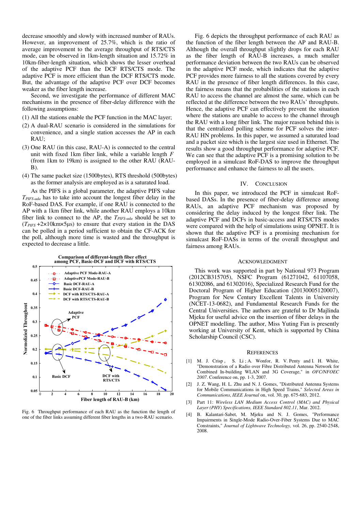decrease smoothly and slowly with increased number of RAUs. However, an improvement of 25.7%, which is the ratio of average improvement to the average throughput of RTS/CTS mode, can be observed in 1km-length situation and 15.72% in 10km-fiber-length situation, which shows the lesser overhead of the adaptive PCF than the DCF RTS/CTS mode. The adaptive PCF is more efficient than the DCF RTS/CTS mode. But, the advantage of the adaptive PCF over DCF becomes weaker as the fiber length increase.

Second, we investigate the performance of different MAC mechanisms in the presence of fiber-delay difference with the following assumptions:

- (1) All the stations enable the PCF function in the MAC layer;
- (2) A dual-RAU scenario is considered in the simulations for convenience, and a single station accesses the AP in each RAU;
- (3) One RAU (in this case, RAU-A) is connected to the central unit with fixed 1km fiber link, while a variable length *F* (from 1km to 19km) is assigned to the other RAU (RAU-B).
- (4) The same packet size (1500bytes), RTS threshold (500bytes) as the former analysis are employed as is a saturated load.

As the PIFS is a global parameter, the adaptive PIFS value *TPIFS-ada* has to take into account the longest fiber delay in the RoF-based DAS. For example, if one RAU is connected to the AP with a 1km fiber link, while another RAU employs a 10km fiber link to connect to the AP, the *TPIFS-ada* should be set to  $(T_{PIFS} + 2 \times 10 \text{km} \times 5 \text{µs})$  to ensure that every station in the DAS can be polled in a period sufficient to obtain the CF-ACK for the poll, although more time is wasted and the throughput is expected to decrease a little.



Fig. 6 Throughput performance of each RAU as the function the length of one of the fiber links assuming different fiber lengths in a two-RAU scenario.

Fig. 6 depicts the throughput performance of each RAU as the function of the fiber length between the AP and RAU-B. Although the overall throughput slightly drops for each RAU as the fiber length of RAU-B increases, a much smaller performance deviation between the two RAUs can be observed in the adaptive PCF mode, which indicates that the adaptive PCF provides more fairness to all the stations covered by every RAU in the presence of fiber length differences. In this case, the fairness means that the probabilities of the stations in each RAU to access the channel are almost the same, which can be reflected at the difference between the two RAUs' throughputs. Hence, the adaptive PCF can effectively prevent the situation where the stations are unable to access to the channel through the RAU with a long fiber link. The major reason behind this is that the centralized polling scheme for PCF solves the inter-RAU HN problems. In this paper, we assumed a saturated load and a packet size which is the largest size used in Ethernet. The results show a good throughput performance for adaptive PCF. We can see that the adaptive PCF is a promising solution to be employed in a simulcast RoF-DAS to improve the throughput performance and enhance the fairness to all the users.

#### IV. CONCLUSION

In this paper, we introduced the PCF in simulcast RoFbased DASs. In the presence of fiber-delay difference among RAUs, an adaptive PCF mechanism was proposed by considering the delay induced by the longest fiber link. The adaptive PCF and DCFs in basic-access and RTS/CTS modes were compared with the help of simulations using OPNET. It is shown that the adaptive PCF is a promising mechanism for simulcast RoF-DASs in terms of the overall throughput and fairness among RAUs.

#### ACKNOWLEDGMENT

This work was supported in part by National 973 Program (2012CB315705), NSFC Program (61271042, 61107058, 61302086, and 61302016), Specialized Research Fund for the Doctoral Program of Higher Education (20130005120007), Program for New Century Excellent Talents in University (NCET-13-0682), and Fundamental Research Funds for the Central Universities. The authors are grateful to Dr Majlinda Mjeku for useful advice on the insertion of fiber delays in the OPNET modelling. The author, Miss Yuting Fan is presently working at University of Kent, which is supported by China Scholarship Council (CSC).

#### **REFERENCES**

- [1] M. J. Crisp, S. Li; A. Wonfor, R. V. Penty and I. H. White, "Demonstration of a Radio over Fibre Distributed Antenna Network for Combined In-building WLAN and 3G Coverage," in *OFC/NFOEC 2007*. Conference on, pp. 1-3, 2007.
- [2] J. Z. Wang, H. L. Zhu and N. J. Gomes, "Distributed Antenna Systems for Mobile Communications in High Speed Trains," *Selected Areas in Communications*, *IEEE Journal* on, vol. 30, pp. 675-683, 2012.
- [3] Part 11: *Wireless LAN Medium Access Control (MAC) and Physical Layer (PHY) Specifications, IEEE Standard 802.11*, Mar. 2012.
- [4] B. Kalantari-Sabet, M. Mjeku and N. J. Gomes, "Performance Impairments in Single-Mode Radio-Over-Fiber Systems Due to MAC Constraints," *Journal of Lightwave Technology,* vol. 26, pp. 2540-2548, 2008.